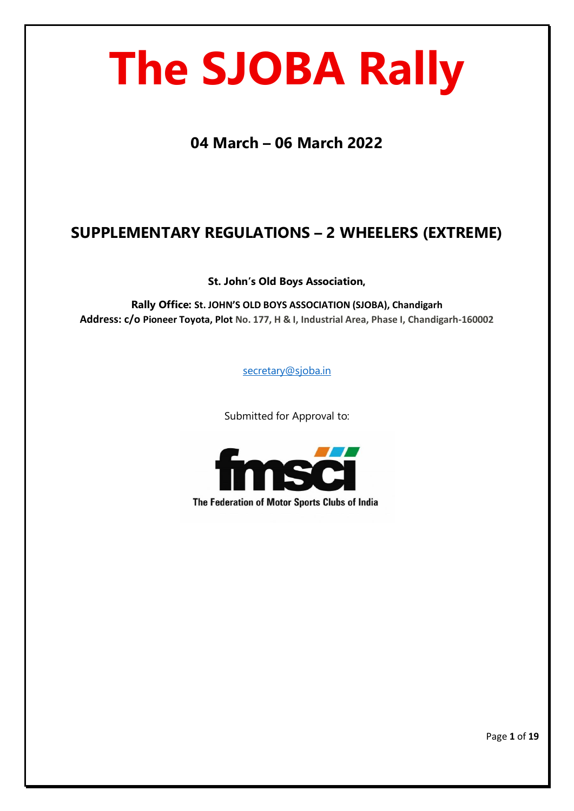# **The SJOBA Rally**

**04 March – 06 March 2022**

# **SUPPLEMENTARY REGULATIONS – 2 WHEELERS (EXTREME)**

**St. John's Old Boys Association,**

**Rally Office: St. JOHN'S OLD BOYS ASSOCIATION (SJOBA), Chandigarh Address: c/o Pioneer Toyota, Plot No. 177, H & I, Industrial Area, Phase I, Chandigarh-160002**

[secretary@sjoba.in](mailto:secretary@sjoba.in)

Submitted for Approval to:



The Federation of Motor Sports Clubs of India

Page **1** of **19**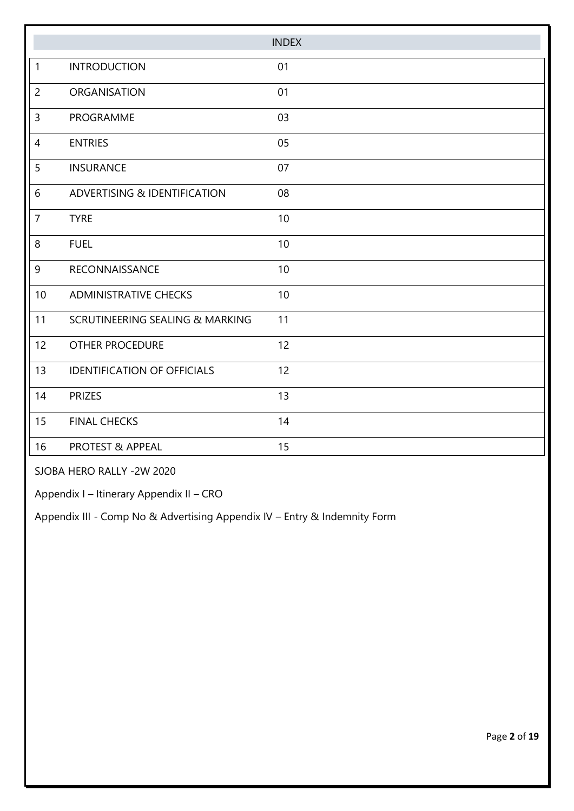|                |                                    | <b>INDEX</b> |
|----------------|------------------------------------|--------------|
| $\mathbf{1}$   | <b>INTRODUCTION</b>                | 01           |
| $\overline{2}$ | ORGANISATION                       | 01           |
| $\overline{3}$ | PROGRAMME                          | 03           |
| $\overline{4}$ | <b>ENTRIES</b>                     | 05           |
| 5              | <b>INSURANCE</b>                   | 07           |
| 6              | ADVERTISING & IDENTIFICATION       | 08           |
| $\overline{7}$ | <b>TYRE</b>                        | 10           |
| 8              | <b>FUEL</b>                        | 10           |
| $\overline{9}$ | RECONNAISSANCE                     | 10           |
| 10             | <b>ADMINISTRATIVE CHECKS</b>       | 10           |
| 11             | SCRUTINEERING SEALING & MARKING    | 11           |
| 12             | <b>OTHER PROCEDURE</b>             | 12           |
| 13             | <b>IDENTIFICATION OF OFFICIALS</b> | 12           |
| 14             | <b>PRIZES</b>                      | 13           |
| 15             | <b>FINAL CHECKS</b>                | 14           |
| 16             | <b>PROTEST &amp; APPEAL</b>        | 15           |

SJOBA HERO RALLY -2W 2020

Appendix I – Itinerary Appendix II – CRO

Appendix III - Comp No & Advertising Appendix IV – Entry & Indemnity Form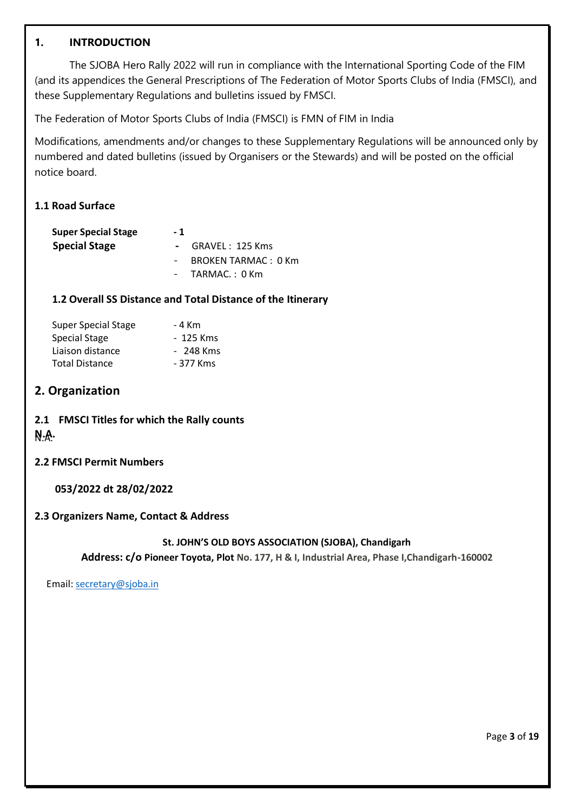#### **1. INTRODUCTION**

The SJOBA Hero Rally 2022 will run in compliance with the International Sporting Code of the FIM (and its appendices the General Prescriptions of The Federation of Motor Sports Clubs of India (FMSCI), and these Supplementary Regulations and bulletins issued by FMSCI.

The Federation of Motor Sports Clubs of India (FMSCI) is FMN of FIM in India

Modifications, amendments and/or changes to these Supplementary Regulations will be announced only by numbered and dated bulletins (issued by Organisers or the Stewards) and will be posted on the official notice board.

#### **1.1 Road Surface**

| <b>Super Special Stage</b> | - 1                 |
|----------------------------|---------------------|
| <b>Special Stage</b>       | - GRAVEL: 125 Kms   |
|                            | BROKEN TARMAC: 0 Km |
|                            | $-$ TARMAC.: 0 Km   |

#### **1.2 Overall SS Distance and Total Distance of the Itinerary**

| <b>Super Special Stage</b> | - 4 Km    |
|----------------------------|-----------|
| Special Stage              | - 125 Kms |
| Liaison distance           | - 248 Kms |
| <b>Total Distance</b>      | - 377 Kms |

#### **2. Organization**

# **2.1 FMSCI Titles for which the Rally counts N.A.** N.A.

#### **2.2 FMSCI Permit Numbers**

#### **053/2022 dt 28/02/2022**

#### **2.3 Organizers Name, Contact & Address**

#### **St. JOHN'S OLD BOYS ASSOCIATION (SJOBA), Chandigarh**

**Address: c/o Pioneer Toyota, Plot No. 177, H & I, Industrial Area, Phase I,Chandigarh-160002**

Email[: secretary@sjoba.in](mailto:secretary@sjoba.in)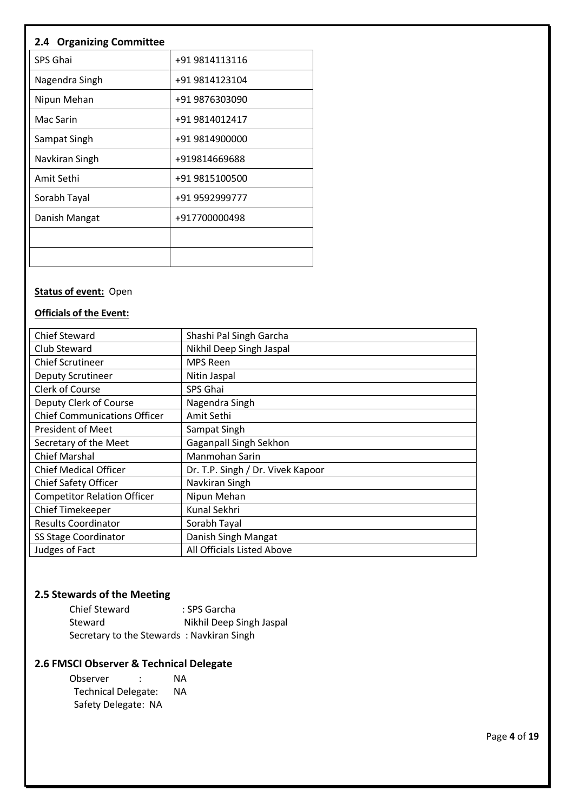# **2.4 Organizing Committee**

| SPS Ghai       | +91 9814113116 |
|----------------|----------------|
| Nagendra Singh | +91 9814123104 |
| Nipun Mehan    | +91 9876303090 |
| Mac Sarin      | +91 9814012417 |
| Sampat Singh   | +91 9814900000 |
| Navkiran Singh | +919814669688  |
| Amit Sethi     | +91 9815100500 |
| Sorabh Tayal   | +91 9592999777 |
| Danish Mangat  | +917700000498  |
|                |                |
|                |                |

# **Status of event:** Open

#### **Officials of the Event:**

| <b>Chief Steward</b>                | Shashi Pal Singh Garcha           |
|-------------------------------------|-----------------------------------|
| Club Steward                        | Nikhil Deep Singh Jaspal          |
| <b>Chief Scrutineer</b>             | <b>MPS Reen</b>                   |
| Deputy Scrutineer                   | Nitin Jaspal                      |
| <b>Clerk of Course</b>              | SPS Ghai                          |
| Deputy Clerk of Course              | Nagendra Singh                    |
| <b>Chief Communications Officer</b> | Amit Sethi                        |
| <b>President of Meet</b>            | Sampat Singh                      |
| Secretary of the Meet               | Gaganpall Singh Sekhon            |
| <b>Chief Marshal</b>                | Manmohan Sarin                    |
| <b>Chief Medical Officer</b>        | Dr. T.P. Singh / Dr. Vivek Kapoor |
| Chief Safety Officer                | Navkiran Singh                    |
| <b>Competitor Relation Officer</b>  | Nipun Mehan                       |
| Chief Timekeeper                    | Kunal Sekhri                      |
| <b>Results Coordinator</b>          | Sorabh Tayal                      |
| <b>SS Stage Coordinator</b>         | Danish Singh Mangat               |
| Judges of Fact                      | All Officials Listed Above        |

#### **2.5 Stewards of the Meeting**

| <b>Chief Steward</b>                      | : SPS Garcha             |
|-------------------------------------------|--------------------------|
| Steward                                   | Nikhil Deep Singh Jaspal |
| Secretary to the Stewards: Navkiran Singh |                          |

# **2.6 FMSCI Observer & Technical Delegate**

Observer : NA<br>Technical Delegate: NA Technical Delegate: Safety Delegate: NA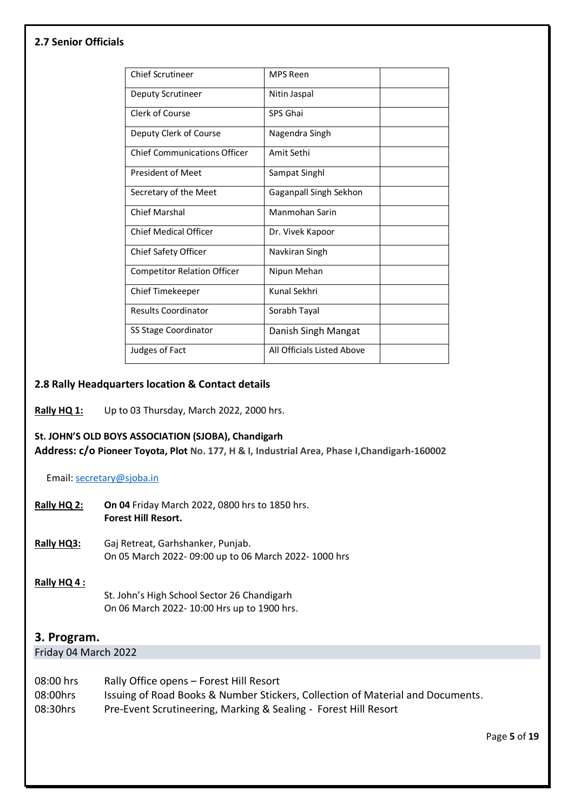#### **2.7 Senior Officials**

| <b>Chief Scrutineer</b>             | <b>MPS Reen</b>            |  |
|-------------------------------------|----------------------------|--|
| Deputy Scrutineer                   | Nitin Jaspal               |  |
| Clerk of Course                     | SPS Ghai                   |  |
| Deputy Clerk of Course              | Nagendra Singh             |  |
| <b>Chief Communications Officer</b> | Amit Sethi                 |  |
| <b>President of Meet</b>            | Sampat Singhl              |  |
| Secretary of the Meet               | Gaganpall Singh Sekhon     |  |
| <b>Chief Marshal</b>                | Manmohan Sarin             |  |
| <b>Chief Medical Officer</b>        | Dr. Vivek Kapoor           |  |
| Chief Safety Officer                | Navkiran Singh             |  |
| <b>Competitor Relation Officer</b>  | Nipun Mehan                |  |
| Chief Timekeeper                    | Kunal Sekhri               |  |
| <b>Results Coordinator</b>          | Sorabh Tayal               |  |
| SS Stage Coordinator                | Danish Singh Mangat        |  |
| Judges of Fact                      | All Officials Listed Above |  |
|                                     |                            |  |

#### **2.8 Rally Headquarters location & Contact details**

#### **Rally HQ 1:** Up to 03 Thursday, March 2022, 2000 hrs.

#### **St. JOHN'S OLD BOYS ASSOCIATION (SJOBA), Chandigarh**

**Address: c/o Pioneer Toyota, Plot No. 177, H & I, Industrial Area, Phase I,Chandigarh-160002**

Email[: secretary@sjoba.in](mailto:secretary@sjoba.in)

- **Rally HQ 2: On 04** Friday March 2022, 0800 hrs to 1850 hrs. **Forest Hill Resort.**
- **Rally HQ3:** Gaj Retreat, Garhshanker, Punjab. On 05 March 2022- 09:00 up to 06 March 2022- 1000 hrs

#### **Rally HQ 4 :**

St. John's High School Sector 26 Chandigarh On 06 March 2022- 10:00 Hrs up to 1900 hrs.

#### **3. Program.**

Friday 04 March 2022

| 08:00 hrs | Rally Office opens - Forest Hill Resort                                        |
|-----------|--------------------------------------------------------------------------------|
| 08:00hrs  | Issuing of Road Books & Number Stickers, Collection of Material and Documents. |
| 08:30hrs  | Pre-Event Scrutineering, Marking & Sealing - Forest Hill Resort                |

Page **5** of **19**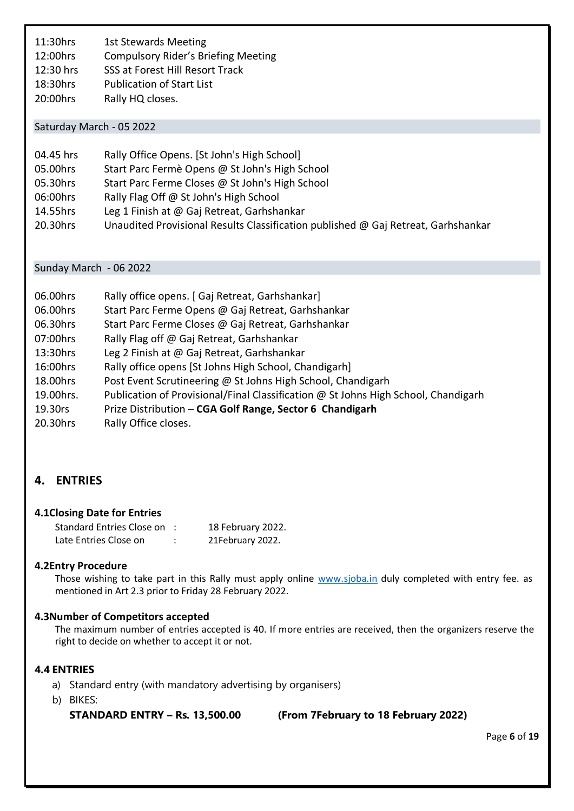11:30hrs 1st Stewards Meeting 12:00hrs Compulsory Rider's Briefing Meeting 12:30 hrs SSS at Forest Hill Resort Track 18:30hrs Publication of Start List 20:00hrs Rally HQ closes.

#### Saturday March - 05 2022

| 04.45 hrs | Rally Office Opens. [St John's High School]                                       |
|-----------|-----------------------------------------------------------------------------------|
| 05.00hrs  | Start Parc Fermè Opens @ St John's High School                                    |
| 05.30hrs  | Start Parc Ferme Closes @ St John's High School                                   |
| 06:00hrs  | Rally Flag Off @ St John's High School                                            |
| 14.55hrs  | Leg 1 Finish at @ Gaj Retreat, Garhshankar                                        |
| 20.30hrs  | Unaudited Provisional Results Classification published @ Gaj Retreat, Garhshankar |

#### Sunday March - 06 2022

| 06.00hrs  | Rally office opens. [ Gaj Retreat, Garhshankar]                                    |
|-----------|------------------------------------------------------------------------------------|
| 06.00hrs  | Start Parc Ferme Opens @ Gaj Retreat, Garhshankar                                  |
| 06.30hrs  | Start Parc Ferme Closes @ Gaj Retreat, Garhshankar                                 |
| 07:00hrs  | Rally Flag off @ Gaj Retreat, Garhshankar                                          |
| 13:30hrs  | Leg 2 Finish at @ Gaj Retreat, Garhshankar                                         |
| 16:00hrs  | Rally office opens [St Johns High School, Chandigarh]                              |
| 18.00hrs  | Post Event Scrutineering @ St Johns High School, Chandigarh                        |
| 19.00hrs. | Publication of Provisional/Final Classification @ St Johns High School, Chandigarh |
| 19.30rs   | Prize Distribution - CGA Golf Range, Sector 6 Chandigarh                           |
| 20.30hrs  | Rally Office closes.                                                               |

# **4. ENTRIES**

#### **4.1Closing Date for Entries**

| <b>Standard Entries Close on</b> | 18 February 2022. |
|----------------------------------|-------------------|
| Late Entries Close on            | 21February 2022.  |

#### **4.2Entry Procedure**

Those wishing to take part in this Rally must apply online [www.sjoba.in](http://www.sjoba.in/) duly completed with entry fee. as mentioned in Art 2.3 prior to Friday 28 February 2022.

#### **4.3Number of Competitors accepted**

The maximum number of entries accepted is 40. If more entries are received, then the organizers reserve the right to decide on whether to accept it or not.

#### **4.4 ENTRIES**

- a) Standard entry (with mandatory advertising by organisers)
- b) BIKES:

**STANDARD ENTRY – Rs. 13,500.00 (From 7February to 18 February 2022)**

Page **6** of **19**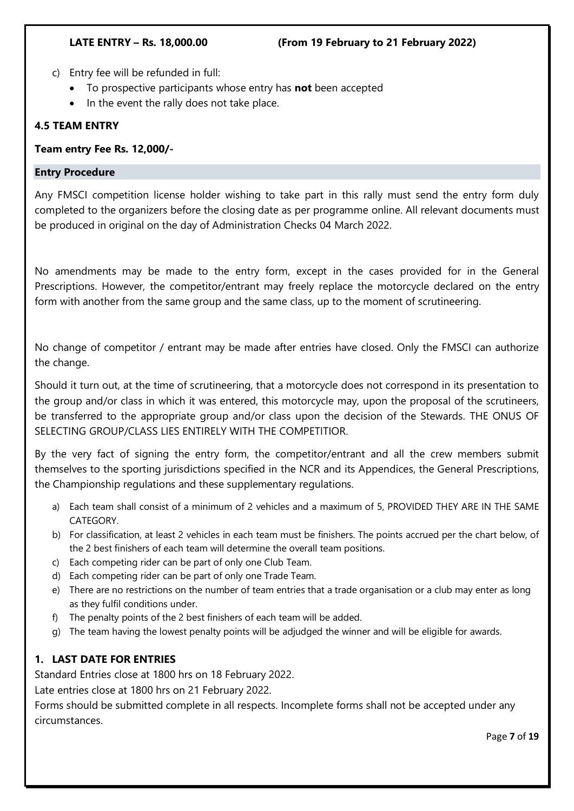- c) Entry fee will be refunded in full:
	- To prospective participants whose entry has **not** been accepted
	- In the event the rally does not take place.

#### **4.5 TEAM ENTRY**

**Team entry Fee Rs. 12,000/-**

#### **Entry Procedure**

Any FMSCI competition license holder wishing to take part in this rally must send the entry form duly completed to the organizers before the closing date as per programme online. All relevant documents must be produced in original on the day of Administration Checks 04 March 2022.

No amendments may be made to the entry form, except in the cases provided for in the General Prescriptions. However, the competitor/entrant may freely replace the motorcycle declared on the entry form with another from the same group and the same class, up to the moment of scrutineering.

No change of competitor / entrant may be made after entries have closed. Only the FMSCI can authorize the change.

Should it turn out, at the time of scrutineering, that a motorcycle does not correspond in its presentation to the group and/or class in which it was entered, this motorcycle may, upon the proposal of the scrutineers, be transferred to the appropriate group and/or class upon the decision of the Stewards. THE ONUS OF SELECTING GROUP/CLASS LIES ENTIRELY WITH THE COMPETITIOR.

By the very fact of signing the entry form, the competitor/entrant and all the crew members submit themselves to the sporting jurisdictions specified in the NCR and its Appendices, the General Prescriptions, the Championship regulations and these supplementary regulations.

- a) Each team shall consist of a minimum of 2 vehicles and a maximum of 5, PROVIDED THEY ARE IN THE SAME CATEGORY.
- b) For classification, at least 2 vehicles in each team must be finishers. The points accrued per the chart below, of the 2 best finishers of each team will determine the overall team positions.
- c) Each competing rider can be part of only one Club Team.
- d) Each competing rider can be part of only one Trade Team.
- e) There are no restrictions on the number of team entries that a trade organisation or a club may enter as long as they fulfil conditions under.
- f) The penalty points of the 2 best finishers of each team will be added.
- g) The team having the lowest penalty points will be adjudged the winner and will be eligible for awards.

# **1. LAST DATE FOR ENTRIES**

Standard Entries close at 1800 hrs on 18 February 2022.

Late entries close at 1800 hrs on 21 February 2022.

Forms should be submitted complete in all respects. Incomplete forms shall not be accepted under any circumstances.

Page **7** of **19**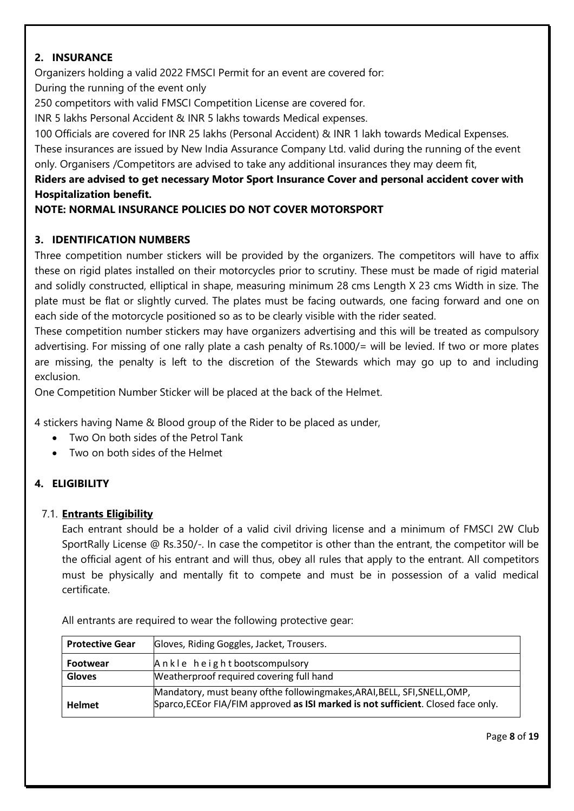# **2. INSURANCE**

Organizers holding a valid 2022 FMSCI Permit for an event are covered for: During the running of the event only

250 competitors with valid FMSCI Competition License are covered for.

INR 5 lakhs Personal Accident & INR 5 lakhs towards Medical expenses.

100 Officials are covered for INR 25 lakhs (Personal Accident) & INR 1 lakh towards Medical Expenses. These insurances are issued by New India Assurance Company Ltd. valid during the running of the event only. Organisers /Competitors are advised to take any additional insurances they may deem fit,

# **Riders are advised to get necessary Motor Sport Insurance Cover and personal accident cover with Hospitalization benefit.**

# **NOTE: NORMAL INSURANCE POLICIES DO NOT COVER MOTORSPORT**

# **3. IDENTIFICATION NUMBERS**

Three competition number stickers will be provided by the organizers. The competitors will have to affix these on rigid plates installed on their motorcycles prior to scrutiny. These must be made of rigid material and solidly constructed, elliptical in shape, measuring minimum 28 cms Length X 23 cms Width in size. The plate must be flat or slightly curved. The plates must be facing outwards, one facing forward and one on each side of the motorcycle positioned so as to be clearly visible with the rider seated.

These competition number stickers may have organizers advertising and this will be treated as compulsory advertising. For missing of one rally plate a cash penalty of Rs.1000/= will be levied. If two or more plates are missing, the penalty is left to the discretion of the Stewards which may go up to and including exclusion.

One Competition Number Sticker will be placed at the back of the Helmet.

4 stickers having Name & Blood group of the Rider to be placed as under,

- Two On both sides of the Petrol Tank
- Two on both sides of the Helmet

# **4. ELIGIBILITY**

# 7.1. **Entrants Eligibility**

Each entrant should be a holder of a valid civil driving license and a minimum of FMSCI 2W Club SportRally License @ Rs.350/-. In case the competitor is other than the entrant, the competitor will be the official agent of his entrant and will thus, obey all rules that apply to the entrant. All competitors must be physically and mentally fit to compete and must be in possession of a valid medical certificate.

All entrants are required to wear the following protective gear:

| <b>Protective Gear</b> | Gloves, Riding Goggles, Jacket, Trousers.                                                                                                                        |
|------------------------|------------------------------------------------------------------------------------------------------------------------------------------------------------------|
| <b>Footwear</b>        | Ankle height bootscompulsory                                                                                                                                     |
| <b>Gloves</b>          | Weatherproof required covering full hand                                                                                                                         |
| <b>Helmet</b>          | Mandatory, must beany of the following makes, ARAI, BELL, SFI, SNELL, OMP,<br>Sparco, ECE or FIA/FIM approved as ISI marked is not sufficient. Closed face only. |

Page **8** of **19**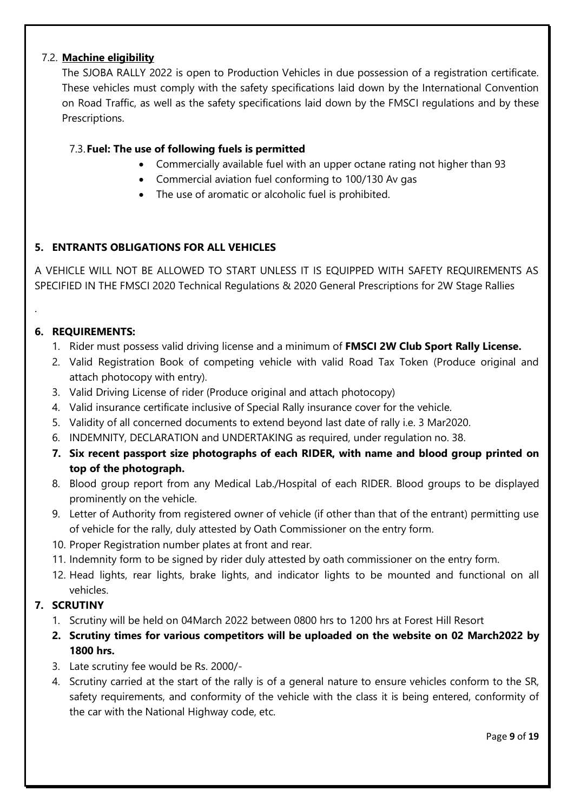# 7.2. **Machine eligibility**

The SJOBA RALLY 2022 is open to Production Vehicles in due possession of a registration certificate. These vehicles must comply with the safety specifications laid down by the International Convention on Road Traffic, as well as the safety specifications laid down by the FMSCI regulations and by these Prescriptions.

# 7.3.**Fuel: The use of following fuels is permitted**

- Commercially available fuel with an upper octane rating not higher than 93
- Commercial aviation fuel conforming to 100/130 Av gas
- The use of aromatic or alcoholic fuel is prohibited.

# **5. ENTRANTS OBLIGATIONS FOR ALL VEHICLES**

A VEHICLE WILL NOT BE ALLOWED TO START UNLESS IT IS EQUIPPED WITH SAFETY REQUIREMENTS AS SPECIFIED IN THE FMSCI 2020 Technical Regulations & 2020 General Prescriptions for 2W Stage Rallies

# **6. REQUIREMENTS:**

.

- 1. Rider must possess valid driving license and a minimum of **FMSCI 2W Club Sport Rally License.**
- 2. Valid Registration Book of competing vehicle with valid Road Tax Token (Produce original and attach photocopy with entry).
- 3. Valid Driving License of rider (Produce original and attach photocopy)
- 4. Valid insurance certificate inclusive of Special Rally insurance cover for the vehicle.
- 5. Validity of all concerned documents to extend beyond last date of rally i.e. 3 Mar2020.
- 6. INDEMNITY, DECLARATION and UNDERTAKING as required, under regulation no. 38.
- **7. Six recent passport size photographs of each RIDER, with name and blood group printed on top of the photograph.**
- 8. Blood group report from any Medical Lab./Hospital of each RIDER. Blood groups to be displayed prominently on the vehicle.
- 9. Letter of Authority from registered owner of vehicle (if other than that of the entrant) permitting use of vehicle for the rally, duly attested by Oath Commissioner on the entry form.
- 10. Proper Registration number plates at front and rear.
- 11. Indemnity form to be signed by rider duly attested by oath commissioner on the entry form.
- 12. Head lights, rear lights, brake lights, and indicator lights to be mounted and functional on all vehicles.

# **7. SCRUTINY**

- 1. Scrutiny will be held on 04March 2022 between 0800 hrs to 1200 hrs at Forest Hill Resort
- **2. Scrutiny times for various competitors will be uploaded on the website on 02 March2022 by 1800 hrs.**
- 3. Late scrutiny fee would be Rs. 2000/-
- 4. Scrutiny carried at the start of the rally is of a general nature to ensure vehicles conform to the SR, safety requirements, and conformity of the vehicle with the class it is being entered, conformity of the car with the National Highway code, etc.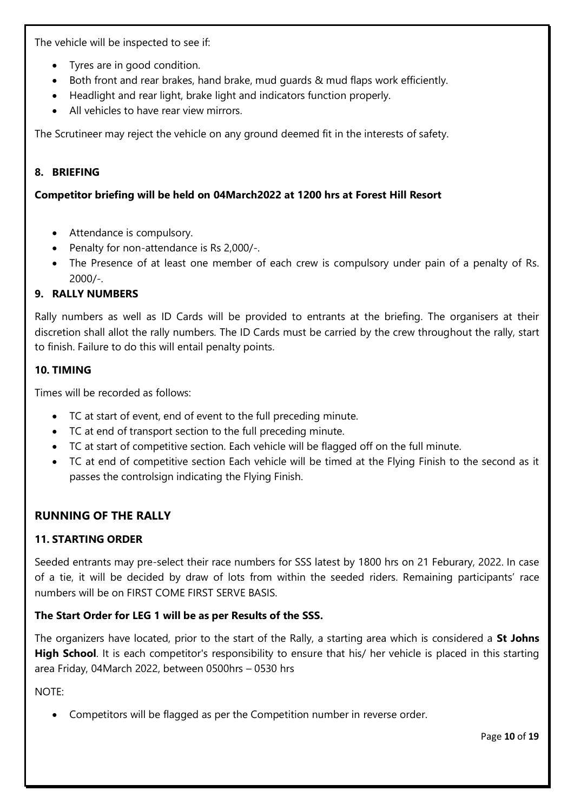The vehicle will be inspected to see if:

- Tyres are in good condition.
- Both front and rear brakes, hand brake, mud guards & mud flaps work efficiently.
- Headlight and rear light, brake light and indicators function properly.
- All vehicles to have rear view mirrors.

The Scrutineer may reject the vehicle on any ground deemed fit in the interests of safety.

#### **8. BRIEFING**

#### **Competitor briefing will be held on 04March2022 at 1200 hrs at Forest Hill Resort**

- Attendance is compulsory.
- Penalty for non-attendance is Rs 2,000/-.
- The Presence of at least one member of each crew is compulsory under pain of a penalty of Rs. 2000/-.

#### **9. RALLY NUMBERS**

Rally numbers as well as ID Cards will be provided to entrants at the briefing. The organisers at their discretion shall allot the rally numbers. The ID Cards must be carried by the crew throughout the rally, start to finish. Failure to do this will entail penalty points.

#### **10. TIMING**

Times will be recorded as follows:

- TC at start of event, end of event to the full preceding minute.
- TC at end of transport section to the full preceding minute.
- TC at start of competitive section. Each vehicle will be flagged off on the full minute.
- TC at end of competitive section Each vehicle will be timed at the Flying Finish to the second as it passes the controlsign indicating the Flying Finish.

# **RUNNING OF THE RALLY**

# **11. STARTING ORDER**

Seeded entrants may pre-select their race numbers for SSS latest by 1800 hrs on 21 Feburary, 2022. In case of a tie, it will be decided by draw of lots from within the seeded riders. Remaining participants' race numbers will be on FIRST COME FIRST SERVE BASIS.

# **The Start Order for LEG 1 will be as per Results of the SSS.**

The organizers have located, prior to the start of the Rally, a starting area which is considered a **St Johns High School**. It is each competitor's responsibility to ensure that his/ her vehicle is placed in this starting area Friday, 04March 2022, between 0500hrs – 0530 hrs

NOTE:

• Competitors will be flagged as per the Competition number in reverse order.

Page **10** of **19**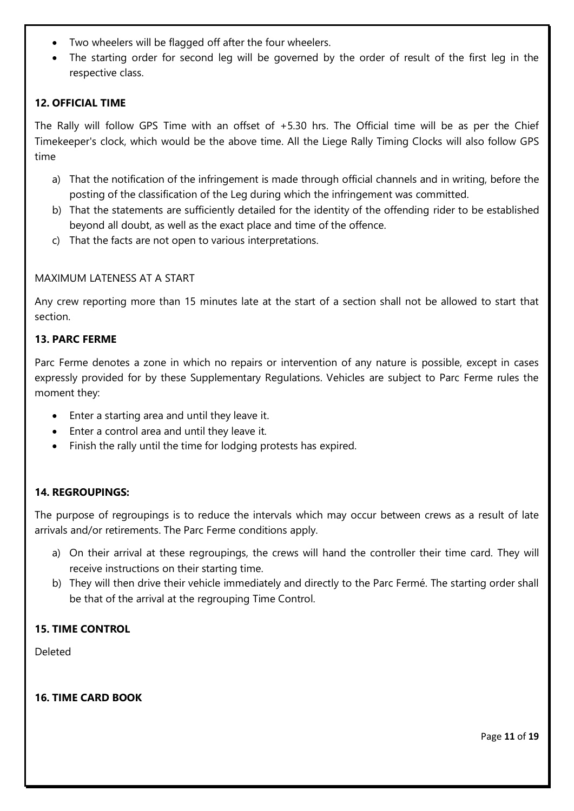- Two wheelers will be flagged off after the four wheelers.
- The starting order for second leg will be governed by the order of result of the first leg in the respective class.

#### **12. OFFICIAL TIME**

The Rally will follow GPS Time with an offset of +5.30 hrs. The Official time will be as per the Chief Timekeeper's clock, which would be the above time. All the Liege Rally Timing Clocks will also follow GPS time

- a) That the notification of the infringement is made through official channels and in writing, before the posting of the classification of the Leg during which the infringement was committed.
- b) That the statements are sufficiently detailed for the identity of the offending rider to be established beyond all doubt, as well as the exact place and time of the offence.
- c) That the facts are not open to various interpretations.

#### MAXIMUM LATENESS AT A START

Any crew reporting more than 15 minutes late at the start of a section shall not be allowed to start that section.

#### **13. PARC FERME**

Parc Ferme denotes a zone in which no repairs or intervention of any nature is possible, except in cases expressly provided for by these Supplementary Regulations. Vehicles are subject to Parc Ferme rules the moment they:

- Enter a starting area and until they leave it.
- Enter a control area and until they leave it.
- Finish the rally until the time for lodging protests has expired.

#### **14. REGROUPINGS:**

The purpose of regroupings is to reduce the intervals which may occur between crews as a result of late arrivals and/or retirements. The Parc Ferme conditions apply.

- a) On their arrival at these regroupings, the crews will hand the controller their time card. They will receive instructions on their starting time.
- b) They will then drive their vehicle immediately and directly to the Parc Fermé. The starting order shall be that of the arrival at the regrouping Time Control.

#### **15. TIME CONTROL**

Deleted

#### **16. TIME CARD BOOK**

Page **11** of **19**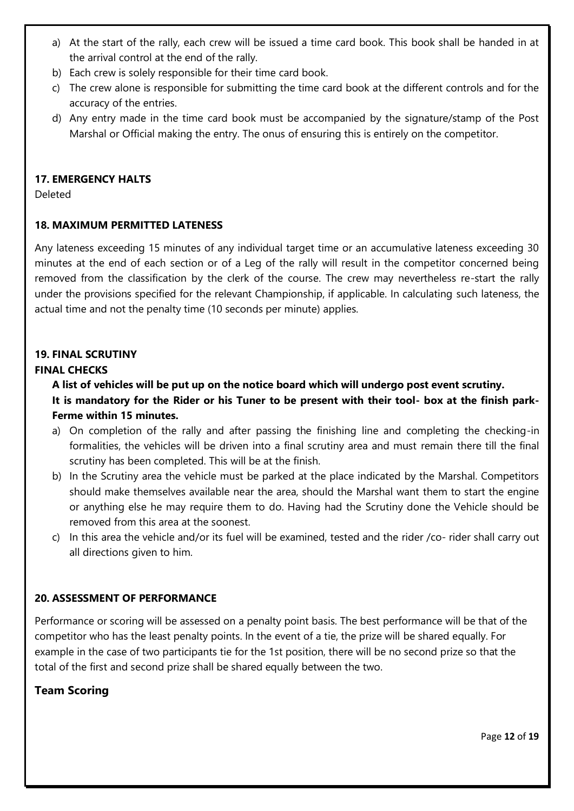- a) At the start of the rally, each crew will be issued a time card book. This book shall be handed in at the arrival control at the end of the rally.
- b) Each crew is solely responsible for their time card book.
- c) The crew alone is responsible for submitting the time card book at the different controls and for the accuracy of the entries.
- d) Any entry made in the time card book must be accompanied by the signature/stamp of the Post Marshal or Official making the entry. The onus of ensuring this is entirely on the competitor.

# **17. EMERGENCY HALTS**

Deleted

# **18. MAXIMUM PERMITTED LATENESS**

Any lateness exceeding 15 minutes of any individual target time or an accumulative lateness exceeding 30 minutes at the end of each section or of a Leg of the rally will result in the competitor concerned being removed from the classification by the clerk of the course. The crew may nevertheless re-start the rally under the provisions specified for the relevant Championship, if applicable. In calculating such lateness, the actual time and not the penalty time (10 seconds per minute) applies.

# **19. FINAL SCRUTINY**

#### **FINAL CHECKS**

**A list of vehicles will be put up on the notice board which will undergo post event scrutiny. It is mandatory for the Rider or his Tuner to be present with their tool- box at the finish park-Ferme within 15 minutes.**

- a) On completion of the rally and after passing the finishing line and completing the checking-in formalities, the vehicles will be driven into a final scrutiny area and must remain there till the final scrutiny has been completed. This will be at the finish.
- b) In the Scrutiny area the vehicle must be parked at the place indicated by the Marshal. Competitors should make themselves available near the area, should the Marshal want them to start the engine or anything else he may require them to do. Having had the Scrutiny done the Vehicle should be removed from this area at the soonest.
- c) In this area the vehicle and/or its fuel will be examined, tested and the rider /co- rider shall carry out all directions given to him.

# **20. ASSESSMENT OF PERFORMANCE**

Performance or scoring will be assessed on a penalty point basis. The best performance will be that of the competitor who has the least penalty points. In the event of a tie, the prize will be shared equally. For example in the case of two participants tie for the 1st position, there will be no second prize so that the total of the first and second prize shall be shared equally between the two.

# **Team Scoring**

Page **12** of **19**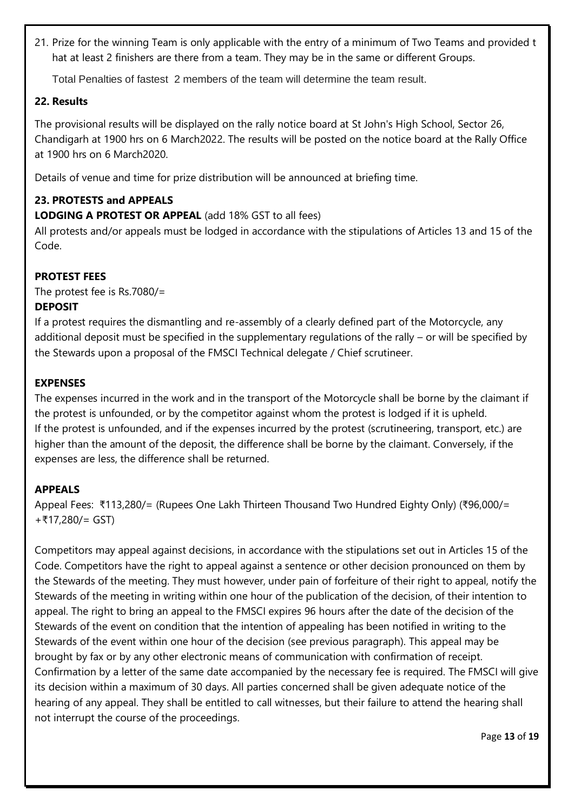21. Prize for the winning Team is only applicable with the entry of a minimum of Two Teams and provided t hat at least 2 finishers are there from a team. They may be in the same or different Groups.

Total Penalties of fastest 2 members of the team will determine the team result.

# **22. Results**

The provisional results will be displayed on the rally notice board at St John's High School, Sector 26, Chandigarh at 1900 hrs on 6 March2022. The results will be posted on the notice board at the Rally Office at 1900 hrs on 6 March2020.

Details of venue and time for prize distribution will be announced at briefing time.

# **23. PROTESTS and APPEALS**

**LODGING A PROTEST OR APPEAL** (add 18% GST to all fees)

All protests and/or appeals must be lodged in accordance with the stipulations of Articles 13 and 15 of the Code.

# **PROTEST FEES**

The protest fee is Rs.7080/=

# **DEPOSIT**

If a protest requires the dismantling and re-assembly of a clearly defined part of the Motorcycle, any additional deposit must be specified in the supplementary regulations of the rally – or will be specified by the Stewards upon a proposal of the FMSCI Technical delegate / Chief scrutineer.

# **EXPENSES**

The expenses incurred in the work and in the transport of the Motorcycle shall be borne by the claimant if the protest is unfounded, or by the competitor against whom the protest is lodged if it is upheld. If the protest is unfounded, and if the expenses incurred by the protest (scrutineering, transport, etc.) are higher than the amount of the deposit, the difference shall be borne by the claimant. Conversely, if the expenses are less, the difference shall be returned.

# **APPEALS**

Appeal Fees: ₹113,280/= (Rupees One Lakh Thirteen Thousand Two Hundred Eighty Only) (₹96,000/= +₹17,280/= GST)

Competitors may appeal against decisions, in accordance with the stipulations set out in Articles 15 of the Code. Competitors have the right to appeal against a sentence or other decision pronounced on them by the Stewards of the meeting. They must however, under pain of forfeiture of their right to appeal, notify the Stewards of the meeting in writing within one hour of the publication of the decision, of their intention to appeal. The right to bring an appeal to the FMSCI expires 96 hours after the date of the decision of the Stewards of the event on condition that the intention of appealing has been notified in writing to the Stewards of the event within one hour of the decision (see previous paragraph). This appeal may be brought by fax or by any other electronic means of communication with confirmation of receipt. Confirmation by a letter of the same date accompanied by the necessary fee is required. The FMSCI will give its decision within a maximum of 30 days. All parties concerned shall be given adequate notice of the hearing of any appeal. They shall be entitled to call witnesses, but their failure to attend the hearing shall not interrupt the course of the proceedings.

Page **13** of **19**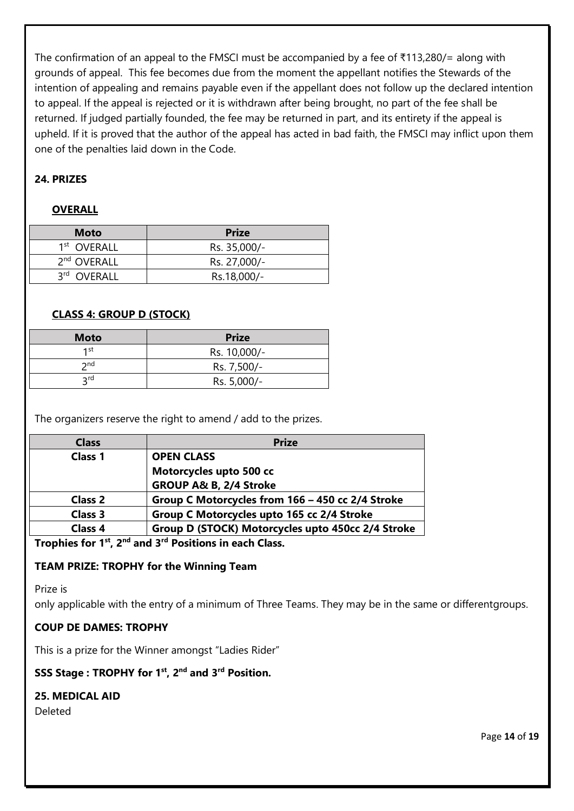The confirmation of an appeal to the FMSCI must be accompanied by a fee of ₹113,280/= along with grounds of appeal. This fee becomes due from the moment the appellant notifies the Stewards of the intention of appealing and remains payable even if the appellant does not follow up the declared intention to appeal. If the appeal is rejected or it is withdrawn after being brought, no part of the fee shall be returned. If judged partially founded, the fee may be returned in part, and its entirety if the appeal is upheld. If it is proved that the author of the appeal has acted in bad faith, the FMSCI may inflict upon them one of the penalties laid down in the Code.

# **24. PRIZES**

#### **OVERALL**

| <b>Moto</b>             | <b>Prize</b> |
|-------------------------|--------------|
| 1 <sup>st</sup> OVERALL | Rs. 35,000/- |
| 2 <sup>nd</sup> OVERALL | Rs. 27,000/- |
| 3rd OVERALL             | Rs.18,000/-  |

#### **CLASS 4: GROUP D (STOCK)**

| <b>Moto</b>     | <b>Prize</b> |
|-----------------|--------------|
| 1st             | Rs. 10,000/- |
| $\mathsf{p}$ nd | Rs. 7,500/-  |
| <b>2rd</b>      | Rs. 5,000/-  |

The organizers reserve the right to amend / add to the prizes.

| <b>Class</b>   | <b>Prize</b>                                      |
|----------------|---------------------------------------------------|
| Class 1        | <b>OPEN CLASS</b>                                 |
|                | Motorcycles upto 500 cc                           |
|                | GROUP A& B, 2/4 Stroke                            |
| <b>Class 2</b> | Group C Motorcycles from 166 - 450 cc 2/4 Stroke  |
| <b>Class 3</b> | Group C Motorcycles upto 165 cc 2/4 Stroke        |
| <b>Class 4</b> | Group D (STOCK) Motorcycles upto 450cc 2/4 Stroke |

**Trophies for 1st, 2nd and 3rd Positions in each Class.**

#### **TEAM PRIZE: TROPHY for the Winning Team**

Prize is

only applicable with the entry of a minimum of Three Teams. They may be in the same or differentgroups.

#### **COUP DE DAMES: TROPHY**

This is a prize for the Winner amongst "Ladies Rider"

# **SSS Stage : TROPHY for 1st, 2nd and 3rd Position.**

#### **25. MEDICAL AID**

Deleted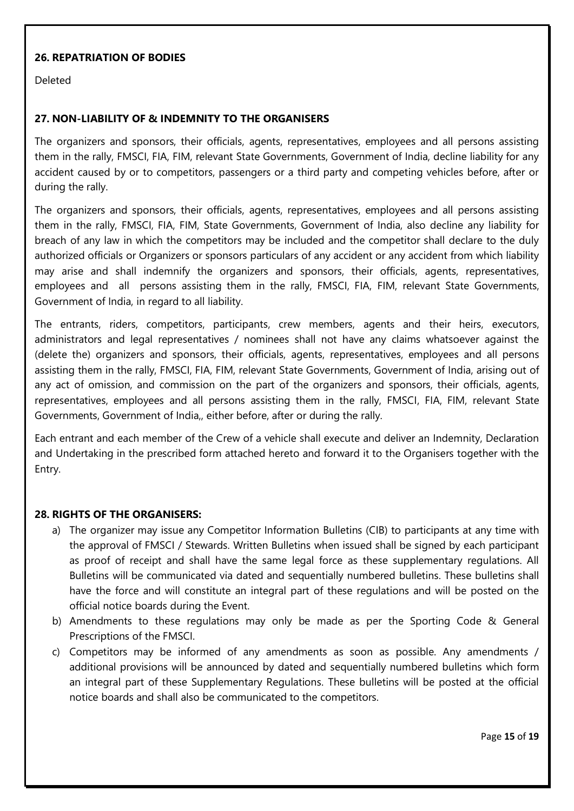#### **26. REPATRIATION OF BODIES**

Deleted

#### **27. NON-LIABILITY OF & INDEMNITY TO THE ORGANISERS**

The organizers and sponsors, their officials, agents, representatives, employees and all persons assisting them in the rally, FMSCI, FIA, FIM, relevant State Governments, Government of India, decline liability for any accident caused by or to competitors, passengers or a third party and competing vehicles before, after or during the rally.

The organizers and sponsors, their officials, agents, representatives, employees and all persons assisting them in the rally, FMSCI, FIA, FIM, State Governments, Government of India, also decline any liability for breach of any law in which the competitors may be included and the competitor shall declare to the duly authorized officials or Organizers or sponsors particulars of any accident or any accident from which liability may arise and shall indemnify the organizers and sponsors, their officials, agents, representatives, employees and all persons assisting them in the rally, FMSCI, FIA, FIM, relevant State Governments, Government of India, in regard to all liability.

The entrants, riders, competitors, participants, crew members, agents and their heirs, executors, administrators and legal representatives / nominees shall not have any claims whatsoever against the (delete the) organizers and sponsors, their officials, agents, representatives, employees and all persons assisting them in the rally, FMSCI, FIA, FIM, relevant State Governments, Government of India, arising out of any act of omission, and commission on the part of the organizers and sponsors, their officials, agents, representatives, employees and all persons assisting them in the rally, FMSCI, FIA, FIM, relevant State Governments, Government of India,, either before, after or during the rally.

Each entrant and each member of the Crew of a vehicle shall execute and deliver an Indemnity, Declaration and Undertaking in the prescribed form attached hereto and forward it to the Organisers together with the Entry.

#### **28. RIGHTS OF THE ORGANISERS:**

- a) The organizer may issue any Competitor Information Bulletins (CIB) to participants at any time with the approval of FMSCI / Stewards. Written Bulletins when issued shall be signed by each participant as proof of receipt and shall have the same legal force as these supplementary regulations. All Bulletins will be communicated via dated and sequentially numbered bulletins. These bulletins shall have the force and will constitute an integral part of these regulations and will be posted on the official notice boards during the Event.
- b) Amendments to these regulations may only be made as per the Sporting Code & General Prescriptions of the FMSCI.
- c) Competitors may be informed of any amendments as soon as possible. Any amendments / additional provisions will be announced by dated and sequentially numbered bulletins which form an integral part of these Supplementary Regulations. These bulletins will be posted at the official notice boards and shall also be communicated to the competitors.

Page **15** of **19**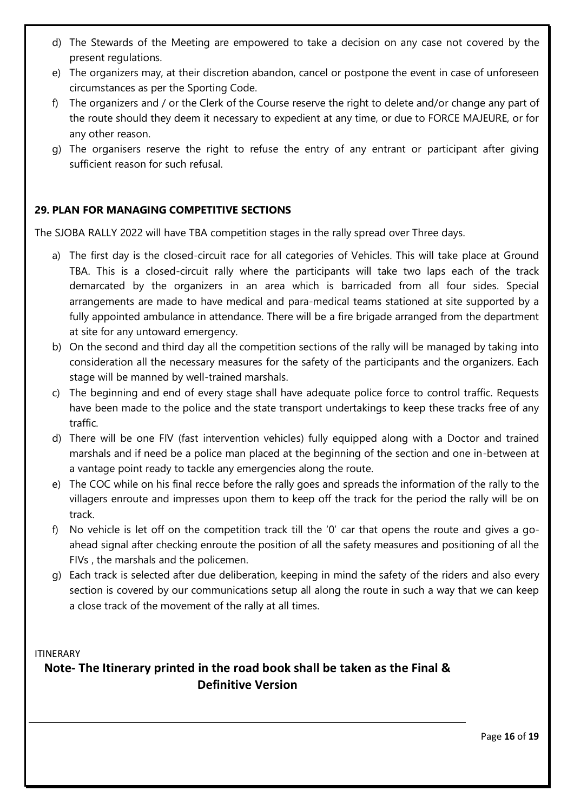- d) The Stewards of the Meeting are empowered to take a decision on any case not covered by the present regulations.
- e) The organizers may, at their discretion abandon, cancel or postpone the event in case of unforeseen circumstances as per the Sporting Code.
- f) The organizers and / or the Clerk of the Course reserve the right to delete and/or change any part of the route should they deem it necessary to expedient at any time, or due to FORCE MAJEURE, or for any other reason.
- g) The organisers reserve the right to refuse the entry of any entrant or participant after giving sufficient reason for such refusal.

# **29. PLAN FOR MANAGING COMPETITIVE SECTIONS**

The SJOBA RALLY 2022 will have TBA competition stages in the rally spread over Three days.

- a) The first day is the closed-circuit race for all categories of Vehicles. This will take place at Ground TBA. This is a closed-circuit rally where the participants will take two laps each of the track demarcated by the organizers in an area which is barricaded from all four sides. Special arrangements are made to have medical and para-medical teams stationed at site supported by a fully appointed ambulance in attendance. There will be a fire brigade arranged from the department at site for any untoward emergency.
- b) On the second and third day all the competition sections of the rally will be managed by taking into consideration all the necessary measures for the safety of the participants and the organizers. Each stage will be manned by well-trained marshals.
- c) The beginning and end of every stage shall have adequate police force to control traffic. Requests have been made to the police and the state transport undertakings to keep these tracks free of any traffic.
- d) There will be one FIV (fast intervention vehicles) fully equipped along with a Doctor and trained marshals and if need be a police man placed at the beginning of the section and one in-between at a vantage point ready to tackle any emergencies along the route.
- e) The COC while on his final recce before the rally goes and spreads the information of the rally to the villagers enroute and impresses upon them to keep off the track for the period the rally will be on track.
- f) No vehicle is let off on the competition track till the '0' car that opens the route and gives a goahead signal after checking enroute the position of all the safety measures and positioning of all the FIVs , the marshals and the policemen.
- g) Each track is selected after due deliberation, keeping in mind the safety of the riders and also every section is covered by our communications setup all along the route in such a way that we can keep a close track of the movement of the rally at all times.

ITINERARY

**Note- The Itinerary printed in the road book shall be taken as the Final & Definitive Version**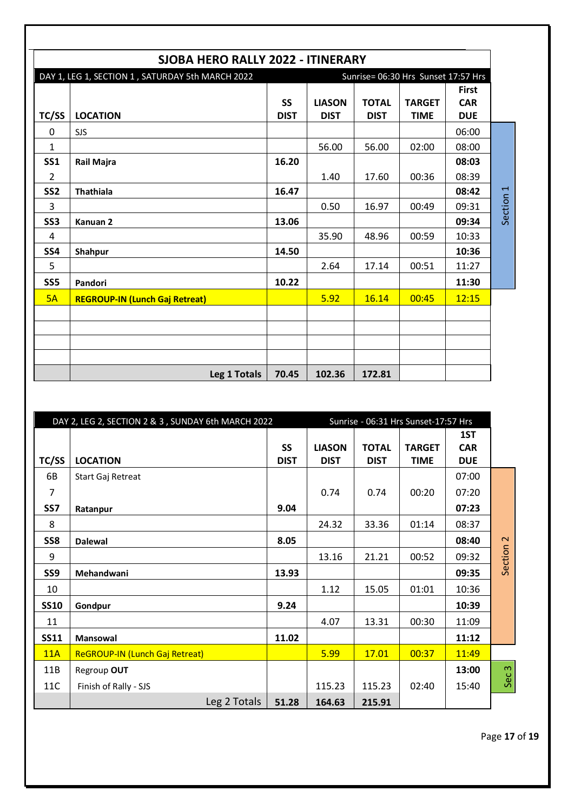|                                                  | SJOBA HERO RALLY 2022 - ITINERARY     |                          |                                     |                             |                              |                                          |           |
|--------------------------------------------------|---------------------------------------|--------------------------|-------------------------------------|-----------------------------|------------------------------|------------------------------------------|-----------|
| DAY 1, LEG 1, SECTION 1, SATURDAY 5th MARCH 2022 |                                       |                          | Sunrise= 06:30 Hrs Sunset 17:57 Hrs |                             |                              |                                          |           |
| TC/SS                                            | <b>LOCATION</b>                       | <b>SS</b><br><b>DIST</b> | <b>LIASON</b><br><b>DIST</b>        | <b>TOTAL</b><br><b>DIST</b> | <b>TARGET</b><br><b>TIME</b> | <b>First</b><br><b>CAR</b><br><b>DUE</b> |           |
| 0                                                | <b>SJS</b>                            |                          |                                     |                             |                              | 06:00                                    |           |
| $\mathbf{1}$                                     |                                       |                          | 56.00                               | 56.00                       | 02:00                        | 08:00                                    |           |
| <b>SS1</b>                                       | Rail Majra                            | 16.20                    |                                     |                             |                              | 08:03                                    |           |
| $\overline{2}$                                   |                                       |                          | 1.40                                | 17.60                       | 00:36                        | 08:39                                    |           |
| SS <sub>2</sub>                                  | <b>Thathiala</b>                      | 16.47                    |                                     |                             |                              | 08:42                                    |           |
| 3                                                |                                       |                          | 0.50                                | 16.97                       | 00:49                        | 09:31                                    | Section 1 |
| SS <sub>3</sub>                                  | Kanuan <sub>2</sub>                   | 13.06                    |                                     |                             |                              | 09:34                                    |           |
| 4                                                |                                       |                          | 35.90                               | 48.96                       | 00:59                        | 10:33                                    |           |
| SS <sub>4</sub>                                  | Shahpur                               | 14.50                    |                                     |                             |                              | 10:36                                    |           |
| 5                                                |                                       |                          | 2.64                                | 17.14                       | 00:51                        | 11:27                                    |           |
| SS <sub>5</sub>                                  | Pandori                               | 10.22                    |                                     |                             |                              | 11:30                                    |           |
| 5A                                               | <b>REGROUP-IN (Lunch Gaj Retreat)</b> |                          | 5.92                                | 16.14                       | 00:45                        | 12:15                                    |           |
|                                                  |                                       |                          |                                     |                             |                              |                                          |           |
|                                                  |                                       |                          |                                     |                             |                              |                                          |           |
|                                                  |                                       |                          |                                     |                             |                              |                                          |           |
|                                                  | Leg 1 Totals                          | 70.45                    | 102.36                              | 172.81                      |                              |                                          |           |

|             | DAY 2, LEG 2, SECTION 2 & 3, SUNDAY 6th MARCH 2022 |                          |                              |                             | Sunrise - 06:31 Hrs Sunset-17:57 Hrs |                                 |                  |
|-------------|----------------------------------------------------|--------------------------|------------------------------|-----------------------------|--------------------------------------|---------------------------------|------------------|
| TC/SS       | <b>LOCATION</b>                                    | <b>SS</b><br><b>DIST</b> | <b>LIASON</b><br><b>DIST</b> | <b>TOTAL</b><br><b>DIST</b> | <b>TARGET</b><br><b>TIME</b>         | 1ST<br><b>CAR</b><br><b>DUE</b> |                  |
| 6B          | Start Gaj Retreat                                  |                          |                              |                             |                                      | 07:00                           |                  |
| 7           |                                                    |                          | 0.74                         | 0.74                        | 00:20                                | 07:20                           |                  |
| SS7         | Ratanpur                                           | 9.04                     |                              |                             |                                      | 07:23                           |                  |
| 8           |                                                    |                          | 24.32                        | 33.36                       | 01:14                                | 08:37                           |                  |
| SS8         | <b>Dalewal</b>                                     | 8.05                     |                              |                             |                                      | 08:40                           | $\sim$           |
| 9           |                                                    |                          | 13.16                        | 21.21                       | 00:52                                | 09:32                           | Section          |
| SS9         | Mehandwani                                         | 13.93                    |                              |                             |                                      | 09:35                           |                  |
| 10          |                                                    |                          | 1.12                         | 15.05                       | 01:01                                | 10:36                           |                  |
| <b>SS10</b> | Gondpur                                            | 9.24                     |                              |                             |                                      | 10:39                           |                  |
| 11          |                                                    |                          | 4.07                         | 13.31                       | 00:30                                | 11:09                           |                  |
| <b>SS11</b> | Mansowal                                           | 11.02                    |                              |                             |                                      | 11:12                           |                  |
| 11A         | ReGROUP-IN (Lunch Gaj Retreat)                     |                          | 5.99                         | 17.01                       | 00:37                                | 11:49                           |                  |
| 11B         | Regroup OUT                                        |                          |                              |                             |                                      | 13:00                           | Sec <sub>3</sub> |
| 11C         | Finish of Rally - SJS                              |                          | 115.23                       | 115.23                      | 02:40                                | 15:40                           |                  |
|             | Leg 2 Totals                                       | 51.28                    | 164.63                       | 215.91                      |                                      |                                 |                  |

Page **17** of **19**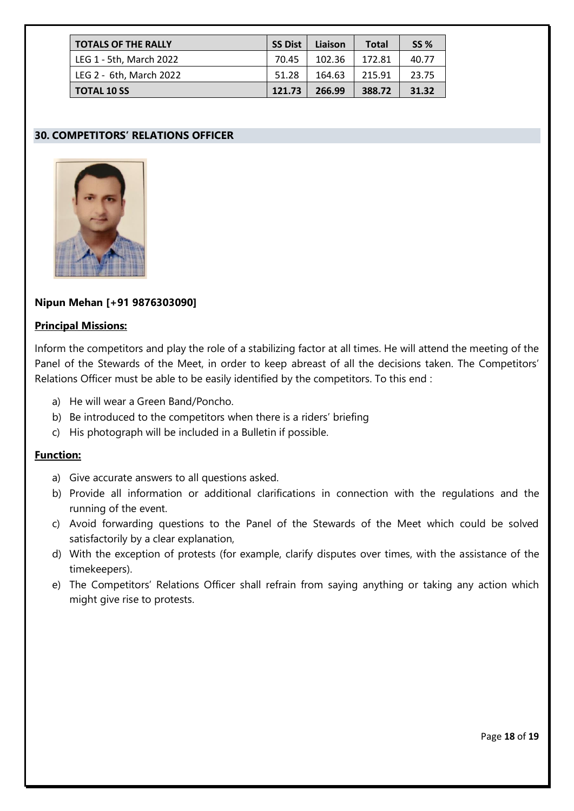| <b>TOTALS OF THE RALLY</b> | <b>SS Dist</b> | Liaison | <b>Total</b> | <b>SS %</b> |
|----------------------------|----------------|---------|--------------|-------------|
| LEG 1 - 5th, March 2022    | 70.45          | 102.36  | 172.81       | 40.77       |
| LEG 2 - 6th, March 2022    | 51.28          | 164.63  | 215.91       | 23.75       |
| <b>TOTAL 10 SS</b>         | 121.73         | 266.99  | 388.72       | 31.32       |

# **30. COMPETITORS' RELATIONS OFFICER**



#### **Nipun Mehan [+91 9876303090]**

#### **Principal Missions:**

Inform the competitors and play the role of a stabilizing factor at all times. He will attend the meeting of the Panel of the Stewards of the Meet, in order to keep abreast of all the decisions taken. The Competitors' Relations Officer must be able to be easily identified by the competitors. To this end :

- a) He will wear a Green Band/Poncho.
- b) Be introduced to the competitors when there is a riders' briefing
- c) His photograph will be included in a Bulletin if possible.

#### **Function:**

- a) Give accurate answers to all questions asked.
- b) Provide all information or additional clarifications in connection with the regulations and the running of the event.
- c) Avoid forwarding questions to the Panel of the Stewards of the Meet which could be solved satisfactorily by a clear explanation,
- d) With the exception of protests (for example, clarify disputes over times, with the assistance of the timekeepers).
- e) The Competitors' Relations Officer shall refrain from saying anything or taking any action which might give rise to protests.